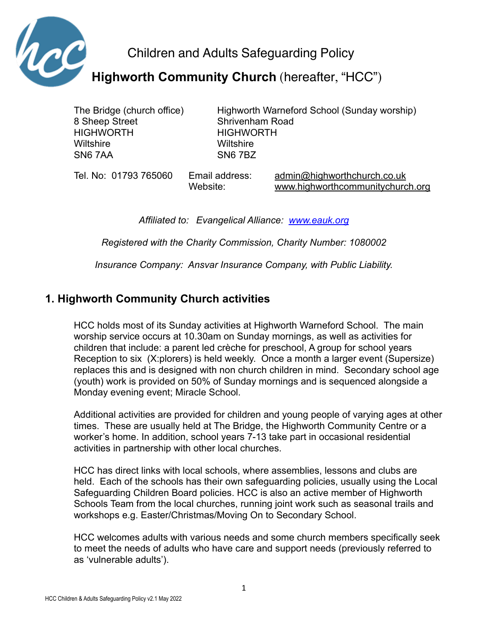

Children and Adults Safeguarding Policy

**Highworth Community Church** (hereafter, "HCC")

8 Sheep Street Shrivenham Road HIGHWORTH HIGHWORTH Wiltshire Wiltshire SN6 7AA SN6 7BZ

The Bridge (church office) Highworth Warneford School (Sunday worship)

Tel. No: 01793 765060 Email address: [admin@highworthchurch.co.uk](mailto:admin@highworthchurch.co.uk) Website: [www.highworthcommunitychurch.org](http://www.highworthcommunitychurch.org)

*Affiliated to: Evangelical Alliance: [www.eauk.org](http://www.eauk.org)*

*Registered with the Charity Commission, Charity Number: 1080002*

*Insurance Company: Ansvar Insurance Company, with Public Liability.*

# **1. Highworth Community Church activities**

HCC holds most of its Sunday activities at Highworth Warneford School. The main worship service occurs at 10.30am on Sunday mornings, as well as activities for children that include: a parent led crèche for preschool, A group for school years Reception to six (X:plorers) is held weekly. Once a month a larger event (Supersize) replaces this and is designed with non church children in mind. Secondary school age (youth) work is provided on 50% of Sunday mornings and is sequenced alongside a Monday evening event; Miracle School.

Additional activities are provided for children and young people of varying ages at other times. These are usually held at The Bridge, the Highworth Community Centre or a worker's home. In addition, school years 7-13 take part in occasional residential activities in partnership with other local churches.

HCC has direct links with local schools, where assemblies, lessons and clubs are held. Each of the schools has their own safeguarding policies, usually using the Local Safeguarding Children Board policies. HCC is also an active member of Highworth Schools Team from the local churches, running joint work such as seasonal trails and workshops e.g. Easter/Christmas/Moving On to Secondary School.

HCC welcomes adults with various needs and some church members specifically seek to meet the needs of adults who have care and support needs (previously referred to as 'vulnerable adults').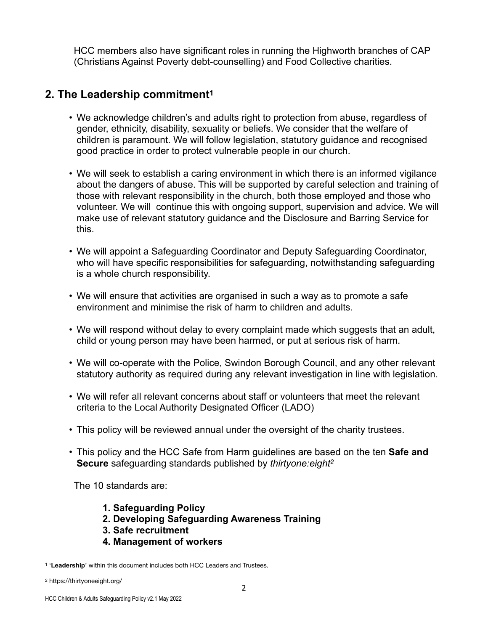HCC members also have significant roles in running the Highworth branches of CAP (Christians Against Poverty debt-counselling) and Food Collective charities.

# **2. The Leadership commitment[1](#page-1-0)**

- <span id="page-1-2"></span>• We acknowledge children's and adults right to protection from abuse, regardless of gender, ethnicity, disability, sexuality or beliefs. We consider that the welfare of children is paramount. We will follow legislation, statutory guidance and recognised good practice in order to protect vulnerable people in our church.
- We will seek to establish a caring environment in which there is an informed vigilance about the dangers of abuse. This will be supported by careful selection and training of those with relevant responsibility in the church, both those employed and those who volunteer. We will continue this with ongoing support, supervision and advice. We will make use of relevant statutory guidance and the Disclosure and Barring Service for this.
- We will appoint a Safeguarding Coordinator and Deputy Safeguarding Coordinator, who will have specific responsibilities for safeguarding, notwithstanding safeguarding is a whole church responsibility.
- We will ensure that activities are organised in such a way as to promote a safe environment and minimise the risk of harm to children and adults.
- We will respond without delay to every complaint made which suggests that an adult, child or young person may have been harmed, or put at serious risk of harm.
- We will co-operate with the Police, Swindon Borough Council, and any other relevant statutory authority as required during any relevant investigation in line with legislation.
- We will refer all relevant concerns about staff or volunteers that meet the relevant criteria to the Local Authority Designated Officer (LADO)
- This policy will be reviewed annual under the oversight of the charity trustees.
- This policy and the HCC Safe from Harm guidelines are based on the ten **Safe and Secure** safeguarding standards published by *thirtyone:eigh[t2](#page-1-1)*

The 10 standards are:

- <span id="page-1-3"></span>**1. Safeguarding Policy**
- **2. Developing Safeguarding Awareness Training**
- **3. Safe recruitment**
- **4. Management of workers**

<span id="page-1-0"></span><sup>&</sup>lt;sup>[1](#page-1-2)</sup> 'Leadership' within this document includes both HCC Leaders and Trustees.

<span id="page-1-1"></span>https://thirtyoneeight.org/ [2](#page-1-3)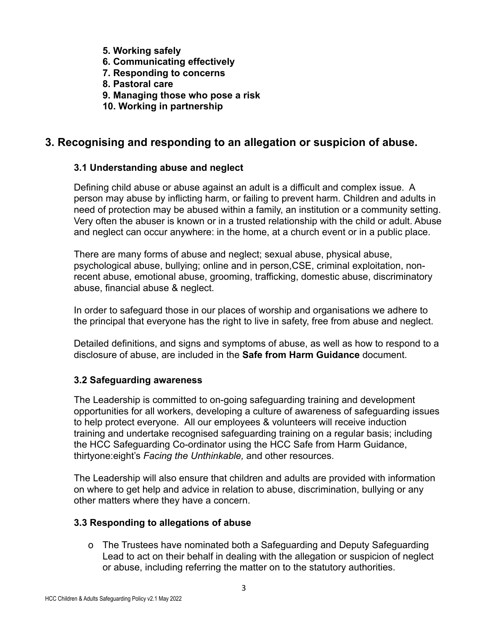- **5. Working safely**
- **6. Communicating effectively**
- **7. Responding to concerns**
- **8. Pastoral care**
- **9. Managing those who pose a risk**
- **10. Working in partnership**

## **3. Recognising and responding to an allegation or suspicion of abuse.**

### **3.1 Understanding abuse and neglect**

Defining child abuse or abuse against an adult is a difficult and complex issue. A person may abuse by inflicting harm, or failing to prevent harm. Children and adults in need of protection may be abused within a family, an institution or a community setting. Very often the abuser is known or in a trusted relationship with the child or adult. Abuse and neglect can occur anywhere: in the home, at a church event or in a public place.

There are many forms of abuse and neglect; sexual abuse, physical abuse, psychological abuse, bullying; online and in person,CSE, criminal exploitation, nonrecent abuse, emotional abuse, grooming, trafficking, domestic abuse, discriminatory abuse, financial abuse & neglect.

In order to safeguard those in our places of worship and organisations we adhere to the principal that everyone has the right to live in safety, free from abuse and neglect.

Detailed definitions, and signs and symptoms of abuse, as well as how to respond to a disclosure of abuse, are included in the **Safe from Harm Guidance** document.

### **3.2 Safeguarding awareness**

The Leadership is committed to on-going safeguarding training and development opportunities for all workers, developing a culture of awareness of safeguarding issues to help protect everyone.All our employees & volunteers will receive induction training and undertake recognised safeguarding training on a regular basis; including the HCC Safeguarding Co-ordinator using the HCC Safe from Harm Guidance, thirtyone:eight's *Facing the Unthinkable,* and other resources.

The Leadership will also ensure that children and adults are provided with information on where to get help and advice in relation to abuse, discrimination, bullying or any other matters where they have a concern.

### **3.3 Responding to allegations of abuse**

o The Trustees have nominated both a Safeguarding and Deputy Safeguarding Lead to act on their behalf in dealing with the allegation or suspicion of neglect or abuse, including referring the matter on to the statutory authorities.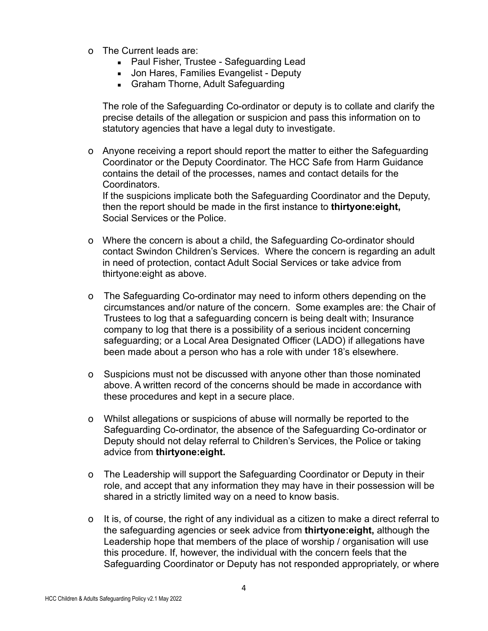- o The Current leads are:
	- Paul Fisher, Trustee Safeguarding Lead
	- **.** Jon Hares, Families Evangelist Deputy
	- **Graham Thorne, Adult Safeguarding**

The role of the Safeguarding Co-ordinator or deputy is to collate and clarify the precise details of the allegation or suspicion and pass this information on to statutory agencies that have a legal duty to investigate.

o Anyone receiving a report should report the matter to either the Safeguarding Coordinator or the Deputy Coordinator. The HCC Safe from Harm Guidance contains the detail of the processes, names and contact details for the Coordinators.

If the suspicions implicate both the Safeguarding Coordinator and the Deputy, then the report should be made in the first instance to **thirtyone:eight,**  Social Services or the Police.

- o Where the concern is about a child, the Safeguarding Co-ordinator should contact Swindon Children's Services. Where the concern is regarding an adult in need of protection, contact Adult Social Services or take advice from thirtyone:eight as above.
- o The Safeguarding Co-ordinator may need to inform others depending on the circumstances and/or nature of the concern. Some examples are: the Chair of Trustees to log that a safeguarding concern is being dealt with; Insurance company to log that there is a possibility of a serious incident concerning safeguarding; or a Local Area Designated Officer (LADO) if allegations have been made about a person who has a role with under 18's elsewhere.
- o Suspicions must not be discussed with anyone other than those nominated above. A written record of the concerns should be made in accordance with these procedures and kept in a secure place.
- o Whilst allegations or suspicions of abuse will normally be reported to the Safeguarding Co-ordinator, the absence of the Safeguarding Co-ordinator or Deputy should not delay referral to Children's Services, the Police or taking advice from **thirtyone:eight.**
- o The Leadership will support the Safeguarding Coordinator or Deputy in their role, and accept that any information they may have in their possession will be shared in a strictly limited way on a need to know basis.
- o It is, of course, the right of any individual as a citizen to make a direct referral to the safeguarding agencies or seek advice from **thirtyone:eight,** although the Leadership hope that members of the place of worship / organisation will use this procedure. If, however, the individual with the concern feels that the Safeguarding Coordinator or Deputy has not responded appropriately, or where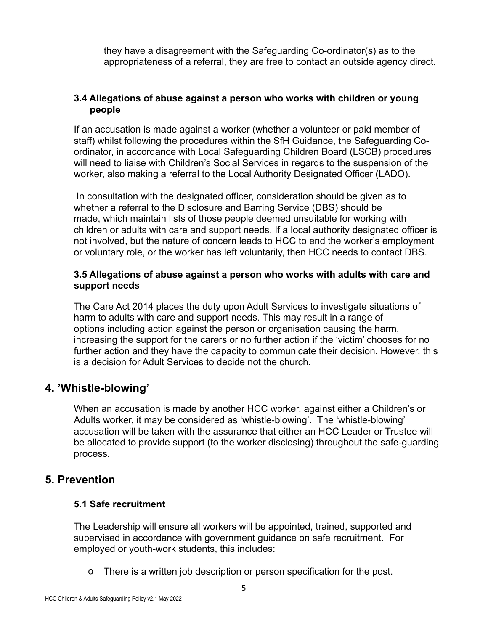they have a disagreement with the Safeguarding Co-ordinator(s) as to the appropriateness of a referral, they are free to contact an outside agency direct.

#### **3.4 Allegations of abuse against a person who works with children or young people**

If an accusation is made against a worker (whether a volunteer or paid member of staff) whilst following the procedures within the SfH Guidance, the Safeguarding Coordinator, in accordance with Local Safeguarding Children Board (LSCB) procedures will need to liaise with Children's Social Services in regards to the suspension of the worker, also making a referral to the Local Authority Designated Officer (LADO).

 In consultation with the designated officer, consideration should be given as to whether a referral to the Disclosure and Barring Service (DBS) should be made, which maintain lists of those people deemed unsuitable for working with children or adults with care and support needs. If a local authority designated officer is not involved, but the nature of concern leads to HCC to end the worker's employment or voluntary role, or the worker has left voluntarily, then HCC needs to contact DBS.

#### **3.5 Allegations of abuse against a person who works with adults with care and support needs**

The Care Act 2014 places the duty upon Adult Services to investigate situations of harm to adults with care and support needs. This may result in a range of options including action against the person or organisation causing the harm, increasing the support for the carers or no further action if the 'victim' chooses for no further action and they have the capacity to communicate their decision. However, this is a decision for Adult Services to decide not the church.

## **4. 'Whistle-blowing'**

When an accusation is made by another HCC worker, against either a Children's or Adults worker, it may be considered as 'whistle-blowing'. The 'whistle-blowing' accusation will be taken with the assurance that either an HCC Leader or Trustee will be allocated to provide support (to the worker disclosing) throughout the safe-guarding process.

## **5. Prevention**

### **5.1 Safe recruitment**

The Leadership will ensure all workers will be appointed, trained, supported and supervised in accordance with government guidance on safe recruitment. For employed or youth-work students, this includes:

o There is a written job description or person specification for the post.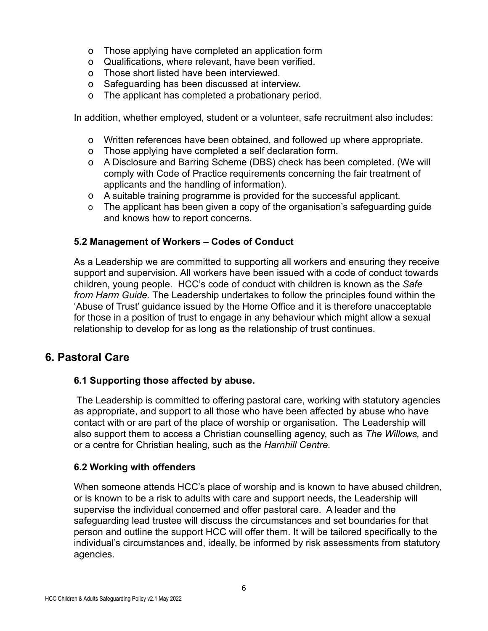- o Those applying have completed an application form
- o Qualifications, where relevant, have been verified.
- o Those short listed have been interviewed.
- o Safeguarding has been discussed at interview.
- o The applicant has completed a probationary period.

In addition, whether employed, student or a volunteer, safe recruitment also includes:

- o Written references have been obtained, and followed up where appropriate.
- o Those applying have completed a self declaration form.
- o A Disclosure and Barring Scheme (DBS) check has been completed. (We will comply with Code of Practice requirements concerning the fair treatment of applicants and the handling of information).
- o A suitable training programme is provided for the successful applicant.
- o The applicant has been given a copy of the organisation's safeguarding guide and knows how to report concerns.

### **5.2 Management of Workers – Codes of Conduct**

As a Leadership we are committed to supporting all workers and ensuring they receive support and supervision. All workers have been issued with a code of conduct towards children, young people. HCC's code of conduct with children is known as the *Safe from Harm Guide.* The Leadership undertakes to follow the principles found within the 'Abuse of Trust' guidance issued by the Home Office and it is therefore unacceptable for those in a position of trust to engage in any behaviour which might allow a sexual relationship to develop for as long as the relationship of trust continues.

## **6. Pastoral Care**

### **6.1 Supporting those affected by abuse.**

The Leadership is committed to offering pastoral care, working with statutory agencies as appropriate, and support to all those who have been affected by abuse who have contact with or are part of the place of worship or organisation. The Leadership will also support them to access a Christian counselling agency, such as *The Willows,* and or a centre for Christian healing, such as the *Harnhill Centre.*

### **6.2 Working with offenders**

When someone attends HCC's place of worship and is known to have abused children, or is known to be a risk to adults with care and support needs, the Leadership will supervise the individual concerned and offer pastoral care. A leader and the safeguarding lead trustee will discuss the circumstances and set boundaries for that person and outline the support HCC will offer them. It will be tailored specifically to the individual's circumstances and, ideally, be informed by risk assessments from statutory agencies.